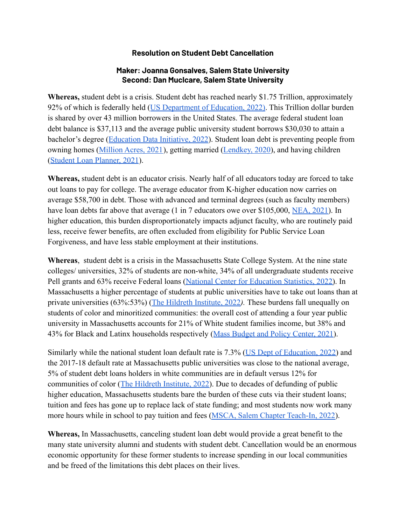## **Resolution on Student Debt Cancellation**

## **Maker: Joanna Gonsalves, Salem State University Second: Dan Muclcare, Salem State University**

**Whereas,** student debt is a crisis. Student debt has reached nearly \$1.75 Trillion, approximately 92% of which is federally held ([US Department of Education,](https://studentaid.gov/data-center/student/portfolio) 2022). This Trillion dollar burden is shared by over 43 million borrowers in the United States. The average federal student loan debt balance is \$37,113 and the average public university student borrows \$30,030 to attain a bachelor's degree ([Education Data Initiative, 2022](https://educationdata.org/student-loan-debt-statistics)). Student loan debt is preventing people from owning homes [\(Million Acres, 2021](https://www.fool.com/investing/stock-market/market-sectors/real-estate-investing/#:~:text=According%20to%20a%20new%20report,ability%20to%20purchase%20a%20home.)), getting married ([Lendkey, 2020](https://www.lendkey.com/press/84-percent-of-young-adults-have-never-comparison-shopped-for-a-student-loan/?sk=organic)), and having children ([Student Loan Planner, 2021](https://www.studentloanplanner.com/student-loans-marriage-divorce/)).

**Whereas,** student debt is an educator crisis. Nearly half of all educators today are forced to take out loans to pay for college. The average educator from K-higher education now carries on average \$58,700 in debt. Those with advanced and terminal degrees (such as faculty members) have loan debts far above that average (1 in 7 educators owe over \$105,000, [NEA, 2021](https://www.nea.org/advocating-for-change/new-from-nea/depth-educators-college-debt)). In higher education, this burden disproportionately impacts adjunct faculty, who are routinely paid less, receive fewer benefits, are often excluded from eligibility for Public Service Loan Forgiveness, and have less stable employment at their institutions.

**Whereas**, student debt is a crisis in the Massachusetts State College System. At the nine state colleges/ universities, 32% of students are non-white, 34% of all undergraduate students receive Pell grants and 63% receive Federal loans (National [Center for Education Statistics, 2022\)](https://nces.ed.gov/ipeds/datacenter/InstitutionProfile.aspx). In Massachusetts a higher percentage of students at public universities have to take out loans than at private universities (63%:53%) ([The Hildreth Institute,](https://hildrethinstitute.org/wp-content/uploads/2022/04/MA-Underfunded-Unaffordable-Unfair-Hildreth-Institute-4.8.22.pdf) 2022*).* These burdens fall unequally on students of color and minoritized communities: the overall cost of attending a four year public university in Massachusetts accounts for 21% of White student families income, but 38% and 43% for Black and Latinx households respectively (Mass [Budget and Policy Center, 2021](https://massbudget.org/wp-content/uploads/2021/03/Choosing-Equity.pdf)).

Similarly while the national student loan default rate is 7.3% ([US Dept of Education, 2022\)](https://www2.ed.gov/offices/OSFAP/defaultmanagement/cdr.html) and the 2017-18 default rate at Massachusetts public universities was close to the national average, 5% of student debt loans holders in white communities are in default versus 12% for communities of color ([The Hildreth Institute, 2022\)](https://hildrethinstitute.org/wp-content/uploads/2022/04/MA-Underfunded-Unaffordable-Unfair-Hildreth-Institute-4.8.22.pdf). Due to decades of defunding of public higher education, Massachusetts students bare the burden of these cuts via their student loans; tuition and fees has gone up to replace lack of state funding; and most students now work many more hours while in school to pay tuition and fees [\(MSCA, Salem Chapter Teach-In, 2022\)](https://elearning.salemstate.edu/courses/1397808).

**Whereas,** In Massachusetts, canceling student loan debt would provide a great benefit to the many state university alumni and students with student debt. Cancellation would be an enormous economic opportunity for these former students to increase spending in our local communities and be freed of the limitations this debt places on their lives.